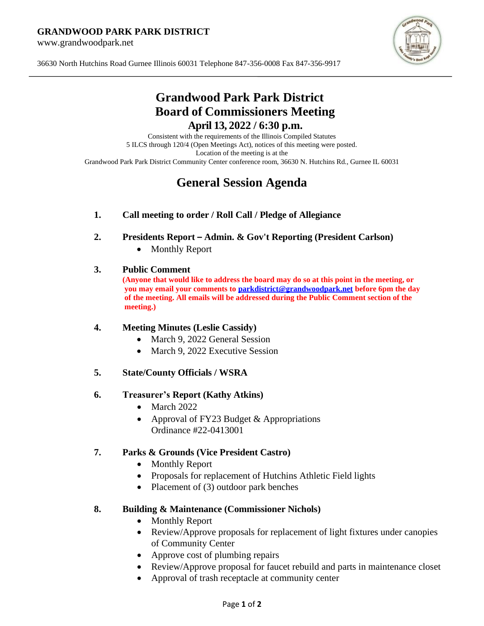#### **GRANDWOOD PARK PARK DISTRICT**

www.grandwoodpark.net



36630 North Hutchins Road Gurnee Illinois 60031 Telephone 847-356-0008 Fax 847-356-9917

## **Grandwood Park Park District Board of Commissioners Meeting April 13, 2022 / 6:30 p.m.**

Consistent with the requirements of the Illinois Compiled Statutes 5 ILCS through 120/4 (Open Meetings Act), notices of this meeting were posted. Location of the meeting is at the Grandwood Park Park District Community Center conference room, 36630 N. Hutchins Rd., Gurnee IL 60031

# **General Session Agenda**

## **1. Call meeting to order / Roll Call / Pledge of Allegiance**

- **2. Presidents Report – Admin. & Gov't Reporting (President Carlson)**
	- Monthly Report

## **3. Public Comment**

**(Anyone that would like to address the board may do so at this point in the meeting, or you may email your comments to [parkdistrict@grandwoodpark.net](mailto:parkdistrict@grandwoodpark.net) before 6pm the day of the meeting. All emails will be addressed during the Public Comment section of the meeting.)**

## **4. Meeting Minutes (Leslie Cassidy)**

- March 9, 2022 General Session
- March 9, 2022 Executive Session
- **5. State/County Officials / WSRA**

## **6. Treasurer's Report (Kathy Atkins)**

- March 2022
- Approval of FY23 Budget & Appropriations Ordinance #22-0413001

## **7. Parks & Grounds (Vice President Castro)**

- Monthly Report
- Proposals for replacement of Hutchins Athletic Field lights
- Placement of (3) outdoor park benches

## **8. Building & Maintenance (Commissioner Nichols)**

- Monthly Report
- Review/Approve proposals for replacement of light fixtures under canopies of Community Center
- Approve cost of plumbing repairs
- Review/Approve proposal for faucet rebuild and parts in maintenance closet
- Approval of trash receptacle at community center